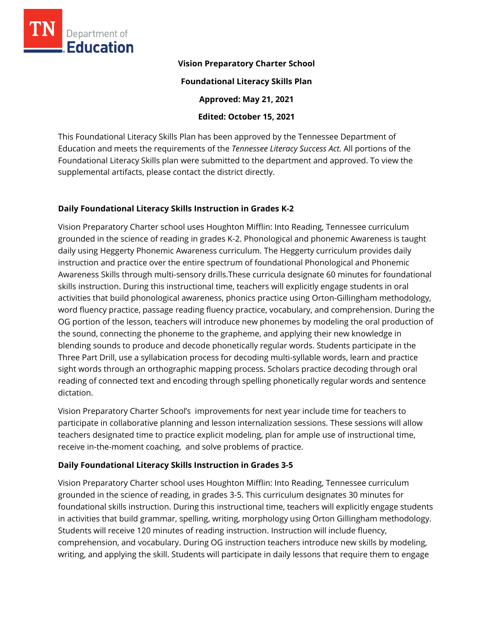

#### **Vision Preparatory Charter School**

**Foundational Literacy Skills Plan** 

**Approved: May 21, 2021** 

**Edited: October 15, 2021**

This Foundational Literacy Skills Plan has been approved by the Tennessee Department of Education and meets the requirements of the *Tennessee Literacy Success Act.* All portions of the Foundational Literacy Skills plan were submitted to the department and approved. To view the supplemental artifacts, please contact the district directly.

### **Daily Foundational Literacy Skills Instruction in Grades K-2**

Vision Preparatory Charter school uses Houghton Mifflin: Into Reading, Tennessee curriculum grounded in the science of reading in grades K-2. Phonological and phonemic Awareness is taught daily using Heggerty Phonemic Awareness curriculum. The Heggerty curriculum provides daily instruction and practice over the entire spectrum of foundational Phonological and Phonemic Awareness Skills through multi-sensory drills.These curricula designate 60 minutes for foundational skills instruction. During this instructional time, teachers will explicitly engage students in oral activities that build phonological awareness, phonics practice using Orton-Gillingham methodology, word fluency practice, passage reading fluency practice, vocabulary, and comprehension. During the OG portion of the lesson, teachers will introduce new phonemes by modeling the oral production of the sound, connecting the phoneme to the grapheme, and applying their new knowledge in blending sounds to produce and decode phonetically regular words. Students participate in the Three Part Drill, use a syllabication process for decoding multi-syllable words, learn and practice sight words through an orthographic mapping process. Scholars practice decoding through oral reading of connected text and encoding through spelling phonetically regular words and sentence dictation.

Vision Preparatory Charter School's improvements for next year include time for teachers to participate in collaborative planning and lesson internalization sessions. These sessions will allow teachers designated time to practice explicit modeling, plan for ample use of instructional time, receive in-the-moment coaching, and solve problems of practice.

## **Daily Foundational Literacy Skills Instruction in Grades 3-5**

Vision Preparatory Charter school uses Houghton Mifflin: Into Reading, Tennessee curriculum grounded in the science of reading, in grades 3-5. This curriculum designates 30 minutes for foundational skills instruction. During this instructional time, teachers will explicitly engage students in activities that build grammar, spelling, writing, morphology using Orton Gillingham methodology. Students will receive 120 minutes of reading instruction. Instruction will include fluency, comprehension, and vocabulary. During OG instruction teachers introduce new skills by modeling, writing, and applying the skill. Students will participate in daily lessons that require them to engage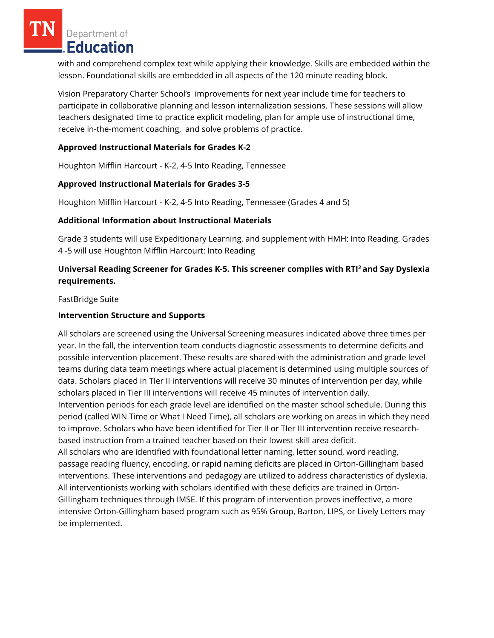Department of Education

with and comprehend complex text while applying their knowledge. Skills are embedded within the lesson. Foundational skills are embedded in all aspects of the 120 minute reading block.

Vision Preparatory Charter School's improvements for next year include time for teachers to participate in collaborative planning and lesson internalization sessions. These sessions will allow teachers designated time to practice explicit modeling, plan for ample use of instructional time, receive in-the-moment coaching, and solve problems of practice.

### **Approved Instructional Materials for Grades K-2**

Houghton Mifflin Harcourt - K-2, 4-5 Into Reading, Tennessee

## **Approved Instructional Materials for Grades 3-5**

Houghton Mifflin Harcourt - K-2, 4-5 Into Reading, Tennessee (Grades 4 and 5)

#### **Additional Information about Instructional Materials**

Grade 3 students will use Expeditionary Learning, and supplement with HMH: Into Reading. Grades 4 -5 will use Houghton Mifflin Harcourt: Into Reading

# **Universal Reading Screener for Grades K-5. This screener complies with RTI<sup>2</sup>and Say Dyslexia requirements.**

FastBridge Suite

### **Intervention Structure and Supports**

All scholars are screened using the Universal Screening measures indicated above three times per year. In the fall, the intervention team conducts diagnostic assessments to determine deficits and possible intervention placement. These results are shared with the administration and grade level teams during data team meetings where actual placement is determined using multiple sources of data. Scholars placed in TIer II interventions will receive 30 minutes of intervention per day, while scholars placed in Tier III interventions will receive 45 minutes of intervention daily. Intervention periods for each grade level are identified on the master school schedule. During this period (called WIN Time or What I Need Time), all scholars are working on areas in which they need to improve. Scholars who have been identified for Tier II or TIer III intervention receive researchbased instruction from a trained teacher based on their lowest skill area deficit. All scholars who are identified with foundational letter naming, letter sound, word reading, passage reading fluency, encoding, or rapid naming deficits are placed in Orton-Gillingham based interventions. These interventions and pedagogy are utilized to address characteristics of dyslexia. All interventionists working with scholars identified with these deficits are trained in Orton-Gillingham techniques through IMSE. If this program of intervention proves ineffective, a more intensive Orton-Gillingham based program such as 95% Group, Barton, LIPS, or Lively Letters may be implemented.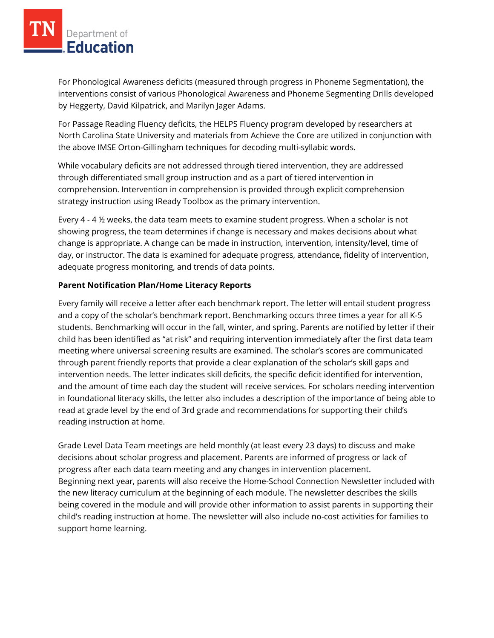For Phonological Awareness deficits (measured through progress in Phoneme Segmentation), the interventions consist of various Phonological Awareness and Phoneme Segmenting Drills developed by Heggerty, David Kilpatrick, and Marilyn Jager Adams.

For Passage Reading Fluency deficits, the HELPS Fluency program developed by researchers at North Carolina State University and materials from Achieve the Core are utilized in conjunction with the above IMSE Orton-Gillingham techniques for decoding multi-syllabic words.

While vocabulary deficits are not addressed through tiered intervention, they are addressed through differentiated small group instruction and as a part of tiered intervention in comprehension. Intervention in comprehension is provided through explicit comprehension strategy instruction using IReady Toolbox as the primary intervention.

Every 4 - 4 ½ weeks, the data team meets to examine student progress. When a scholar is not showing progress, the team determines if change is necessary and makes decisions about what change is appropriate. A change can be made in instruction, intervention, intensity/level, time of day, or instructor. The data is examined for adequate progress, attendance, fidelity of intervention, adequate progress monitoring, and trends of data points.

### **Parent Notification Plan/Home Literacy Reports**

Every family will receive a letter after each benchmark report. The letter will entail student progress and a copy of the scholar's benchmark report. Benchmarking occurs three times a year for all K-5 students. Benchmarking will occur in the fall, winter, and spring. Parents are notified by letter if their child has been identified as "at risk" and requiring intervention immediately after the first data team meeting where universal screening results are examined. The scholar's scores are communicated through parent friendly reports that provide a clear explanation of the scholar's skill gaps and intervention needs. The letter indicates skill deficits, the specific deficit identified for intervention, and the amount of time each day the student will receive services. For scholars needing intervention in foundational literacy skills, the letter also includes a description of the importance of being able to read at grade level by the end of 3rd grade and recommendations for supporting their child's reading instruction at home.

Grade Level Data Team meetings are held monthly (at least every 23 days) to discuss and make decisions about scholar progress and placement. Parents are informed of progress or lack of progress after each data team meeting and any changes in intervention placement. Beginning next year, parents will also receive the Home-School Connection Newsletter included with the new literacy curriculum at the beginning of each module. The newsletter describes the skills being covered in the module and will provide other information to assist parents in supporting their child's reading instruction at home. The newsletter will also include no-cost activities for families to support home learning.